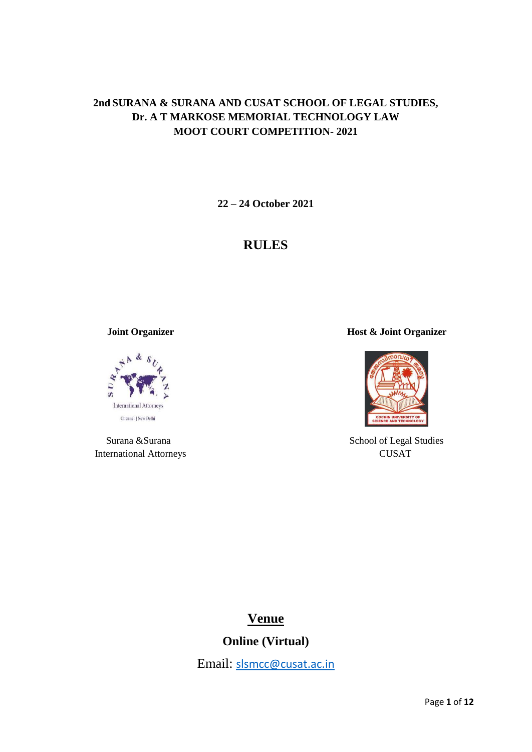# **2nd SURANA & SURANA AND CUSAT SCHOOL OF LEGAL STUDIES, Dr. A T MARKOSE MEMORIAL TECHNOLOGY LAW MOOT COURT COMPETITION- 2021**

**22 – 24 October 2021**

# **RULES**



International Attorneys CUSAT

 **Joint Organizer Host & Joint Organizer** 



Surana &Surana  $\sim$  School of Legal Studies

# **Venue**

**Online (Virtual)**

Email: [slsmcc@cusat.ac.in](mailto:slsmcc@cusat.ac.in)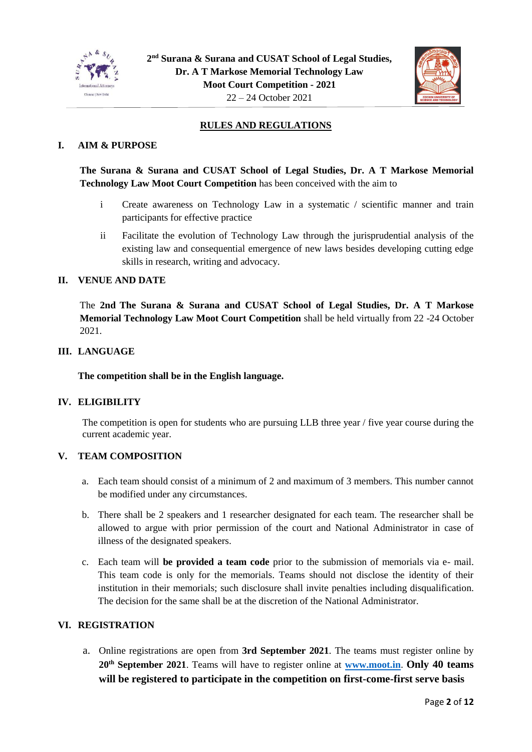



# **RULES AND REGULATIONS**

## **I. AIM & PURPOSE**

**The Surana & Surana and CUSAT School of Legal Studies, Dr. A T Markose Memorial Technology Law Moot Court Competition** has been conceived with the aim to

- i Create awareness on Technology Law in a systematic / scientific manner and train participants for effective practice
- ii Facilitate the evolution of Technology Law through the jurisprudential analysis of the existing law and consequential emergence of new laws besides developing cutting edge skills in research, writing and advocacy.

## **II. VENUE AND DATE**

The **2nd The Surana & Surana and CUSAT School of Legal Studies, Dr. A T Markose Memorial Technology Law Moot Court Competition** shall be held virtually from 22 -24 October 2021.

## **III. LANGUAGE**

**The competition shall be in the English language.**

## **IV. ELIGIBILITY**

The competition is open for students who are pursuing LLB three year / five year course during the current academic year.

#### **V. TEAM COMPOSITION**

- a. Each team should consist of a minimum of 2 and maximum of 3 members. This number cannot be modified under any circumstances.
- b. There shall be 2 speakers and 1 researcher designated for each team. The researcher shall be allowed to argue with prior permission of the court and National Administrator in case of illness of the designated speakers.
- c. Each team will **be provided a team code** prior to the submission of memorials via e- mail. This team code is only for the memorials. Teams should not disclose the identity of their institution in their memorials; such disclosure shall invite penalties including disqualification. The decision for the same shall be at the discretion of the National Administrator.

#### **VI. REGISTRATION**

a. Online registrations are open from **3rd September 2021**. The teams must register online by **20th September 2021**. Teams will have to register online at **[www.moot.in](http://www.moot.in/)**. **Only 40 teams will be registered to participate in the competition on first-come-first serve basis**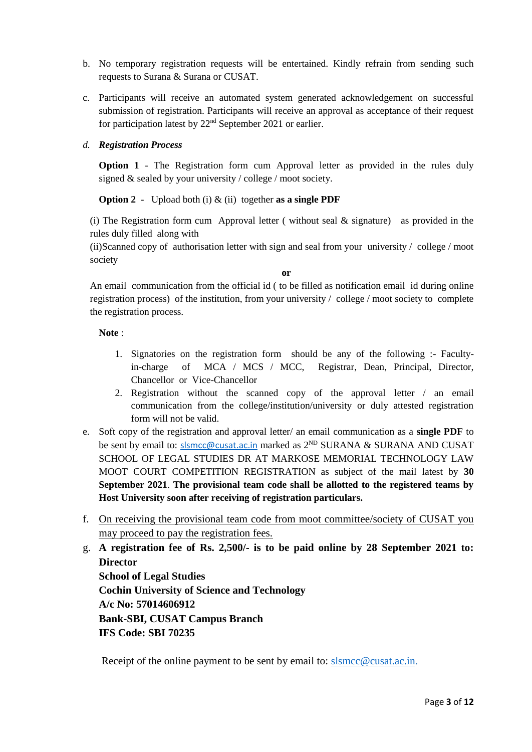- b. No temporary registration requests will be entertained. Kindly refrain from sending such requests to Surana & Surana or CUSAT.
- c. Participants will receive an automated system generated acknowledgement on successful submission of registration. Participants will receive an approval as acceptance of their request for participation latest by 22nd September 2021 or earlier.

## *d. Registration Process*

**Option 1** - The Registration form cum Approval letter as provided in the rules duly signed & sealed by your university / college / moot society.

**Option 2** - Upload both (i) & (ii) together **as a single PDF**

(i) The Registration form cum Approval letter ( without seal  $\&$  signature) as provided in the rules duly filled along with

(ii)Scanned copy of authorisation letter with sign and seal from your university / college / moot society

**or**

An email communication from the official id ( to be filled as notification email id during online registration process) of the institution, from your university / college / moot society to complete the registration process.

**Note** :

- 1. Signatories on the registration form should be any of the following :- Facultyin-charge of MCA / MCS / MCC, Registrar, Dean, Principal, Director, Chancellor or Vice-Chancellor
- 2. Registration without the scanned copy of the approval letter / an email communication from the college/institution/university or duly attested registration form will not be valid.
- e. Soft copy of the registration and approval letter/ an email communication as a **single PDF** to be sent by email to: [slsmcc@cusat.ac.in](mailto:slsmcc@cusat.ac.in) marked as 2<sup>ND</sup> SURANA & SURANA AND CUSAT SCHOOL OF LEGAL STUDIES DR AT MARKOSE MEMORIAL TECHNOLOGY LAW MOOT COURT COMPETITION REGISTRATION as subject of the mail latest by **30 September 2021**. **The provisional team code shall be allotted to the registered teams by Host University soon after receiving of registration particulars.**
- f. On receiving the provisional team code from moot committee/society of CUSAT you may proceed to pay the registration fees.

g. **A registration fee of Rs. 2,500/- is to be paid online by 28 September 2021 to: Director School of Legal Studies Cochin University of Science and Technology A/c No: 57014606912 Bank-SBI, CUSAT Campus Branch IFS Code: SBI 70235**

Receipt of the online payment to be sent by email to: [slsmcc@cusat.ac.in.](mailto:slsmcc@cusat.ac.in)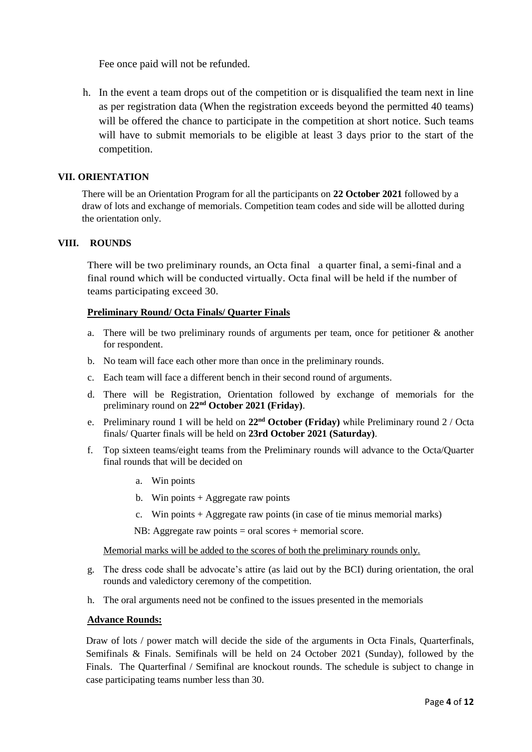Fee once paid will not be refunded.

h. In the event a team drops out of the competition or is disqualified the team next in line as per registration data (When the registration exceeds beyond the permitted 40 teams) will be offered the chance to participate in the competition at short notice. Such teams will have to submit memorials to be eligible at least 3 days prior to the start of the competition.

## **VII. ORIENTATION**

There will be an Orientation Program for all the participants on **22 October 2021** followed by a draw of lots and exchange of memorials. Competition team codes and side will be allotted during the orientation only.

## **VIII. ROUNDS**

There will be two preliminary rounds, an Octa final a quarter final, a semi-final and a final round which will be conducted virtually. Octa final will be held if the number of teams participating exceed 30.

#### **Preliminary Round/ Octa Finals/ Quarter Finals**

- a. There will be two preliminary rounds of arguments per team, once for petitioner  $\&$  another for respondent.
- b. No team will face each other more than once in the preliminary rounds.
- c. Each team will face a different bench in their second round of arguments.
- d. There will be Registration, Orientation followed by exchange of memorials for the preliminary round on **22nd October 2021 (Friday)**.
- e. Preliminary round 1 will be held on **22nd October (Friday)** while Preliminary round 2 / Octa finals/ Quarter finals will be held on **23rd October 2021 (Saturday)**.
- f. Top sixteen teams/eight teams from the Preliminary rounds will advance to the Octa/Quarter final rounds that will be decided on
	- a. Win points
	- b. Win points  $+$  Aggregate raw points
	- c. Win points + Aggregate raw points (in case of tie minus memorial marks)
	- NB: Aggregate raw points = oral scores + memorial score.

Memorial marks will be added to the scores of both the preliminary rounds only.

- g. The dress code shall be advocate's attire (as laid out by the BCI) during orientation, the oral rounds and valedictory ceremony of the competition.
- h. The oral arguments need not be confined to the issues presented in the memorials

#### **Advance Rounds:**

Draw of lots / power match will decide the side of the arguments in Octa Finals, Quarterfinals, Semifinals & Finals. Semifinals will be held on 24 October 2021 (Sunday), followed by the Finals. The Quarterfinal / Semifinal are knockout rounds. The schedule is subject to change in case participating teams number less than 30.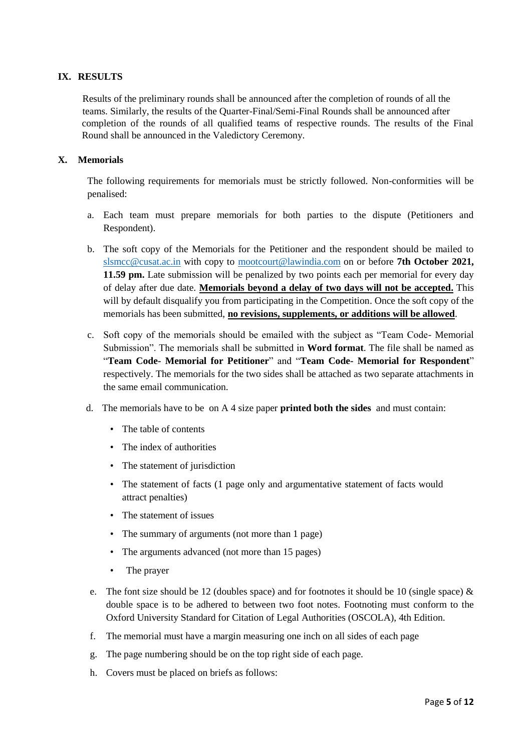## **IX. RESULTS**

 Results of the preliminary rounds shall be announced after the completion of rounds of all the teams. Similarly, the results of the Quarter-Final/Semi-Final Rounds shall be announced after completion of the rounds of all qualified teams of respective rounds. The results of the Final Round shall be announced in the Valedictory Ceremony.

## **X. Memorials**

The following requirements for memorials must be strictly followed. Non-conformities will be penalised:

- a. Each team must prepare memorials for both parties to the dispute (Petitioners and Respondent).
- b. The soft copy of the Memorials for the Petitioner and the respondent should be mailed to [slsmcc@cusat.ac.in](mailto:slsmcc@cusat.ac.in) with copy to [mootcourt@lawindia.com](mailto:mootcourt@lawindia.com) on or before **7th October 2021, 11.59 pm.** Late submission will be penalized by two points each per memorial for every day of delay after due date. **Memorials beyond a delay of two days will not be accepted.** This will by default disqualify you from participating in the Competition. Once the soft copy of the memorials has been submitted, **no revisions, supplements, or additions will be allowed**.
- c. Soft copy of the memorials should be emailed with the subject as "Team Code- Memorial Submission". The memorials shall be submitted in **Word format**. The file shall be named as "**Team Code- Memorial for Petitioner**" and "**Team Code- Memorial for Respondent**" respectively. The memorials for the two sides shall be attached as two separate attachments in the same email communication.
- d. The memorials have to be on A 4 size paper **printed both the sides** and must contain:
	- The table of contents
	- The index of authorities
	- The statement of jurisdiction
	- The statement of facts (1 page only and argumentative statement of facts would attract penalties)
	- The statement of issues
	- The summary of arguments (not more than 1 page)
	- The arguments advanced (not more than 15 pages)
	- The prayer
- e. The font size should be 12 (doubles space) and for footnotes it should be 10 (single space)  $\&$ double space is to be adhered to between two foot notes. Footnoting must conform to the Oxford University Standard for Citation of Legal Authorities (OSCOLA), 4th Edition.
- f. The memorial must have a margin measuring one inch on all sides of each page
- g. The page numbering should be on the top right side of each page.
- h. Covers must be placed on briefs as follows: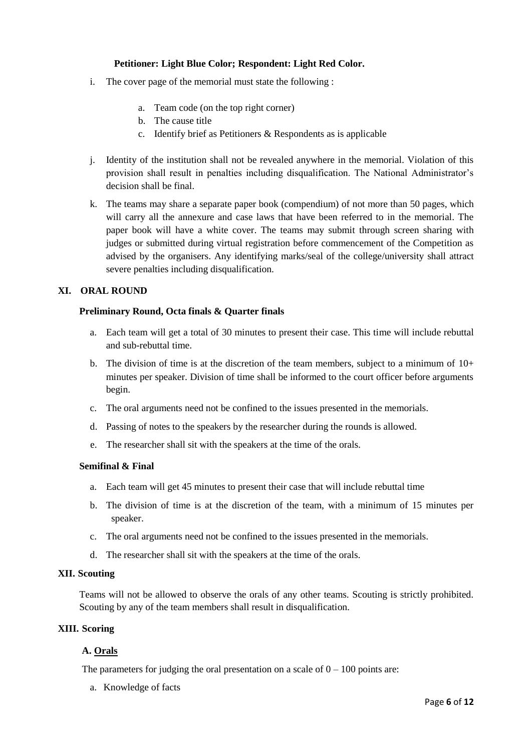## **Petitioner: Light Blue Color; Respondent: Light Red Color.**

- i. The cover page of the memorial must state the following :
	- a. Team code (on the top right corner)
	- b. The cause title
	- c. Identify brief as Petitioners & Respondents as is applicable
- j. Identity of the institution shall not be revealed anywhere in the memorial. Violation of this provision shall result in penalties including disqualification. The National Administrator's decision shall be final.
- k. The teams may share a separate paper book (compendium) of not more than 50 pages, which will carry all the annexure and case laws that have been referred to in the memorial. The paper book will have a white cover. The teams may submit through screen sharing with judges or submitted during virtual registration before commencement of the Competition as advised by the organisers. Any identifying marks/seal of the college/university shall attract severe penalties including disqualification.

## **XI. ORAL ROUND**

## **Preliminary Round, Octa finals & Quarter finals**

- a. Each team will get a total of 30 minutes to present their case. This time will include rebuttal and sub-rebuttal time.
- b. The division of time is at the discretion of the team members, subject to a minimum of  $10+$ minutes per speaker. Division of time shall be informed to the court officer before arguments begin.
- c. The oral arguments need not be confined to the issues presented in the memorials.
- d. Passing of notes to the speakers by the researcher during the rounds is allowed.
- e. The researcher shall sit with the speakers at the time of the orals.

#### **Semifinal & Final**

- a. Each team will get 45 minutes to present their case that will include rebuttal time
- b. The division of time is at the discretion of the team, with a minimum of 15 minutes per speaker.
- c. The oral arguments need not be confined to the issues presented in the memorials.
- d. The researcher shall sit with the speakers at the time of the orals.

#### **XII. Scouting**

Teams will not be allowed to observe the orals of any other teams. Scouting is strictly prohibited. Scouting by any of the team members shall result in disqualification.

## **XIII. Scoring**

## **A. Orals**

The parameters for judging the oral presentation on a scale of  $0 - 100$  points are:

a. Knowledge of facts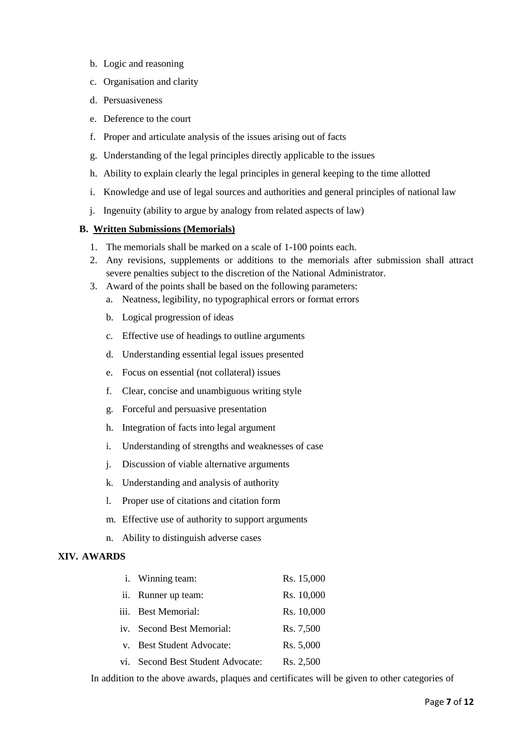- b. Logic and reasoning
- c. Organisation and clarity
- d. Persuasiveness
- e. Deference to the court
- f. Proper and articulate analysis of the issues arising out of facts
- g. Understanding of the legal principles directly applicable to the issues
- h. Ability to explain clearly the legal principles in general keeping to the time allotted
- i. Knowledge and use of legal sources and authorities and general principles of national law
- j. Ingenuity (ability to argue by analogy from related aspects of law)

## **B. Written Submissions (Memorials)**

- 1. The memorials shall be marked on a scale of 1-100 points each.
- 2. Any revisions, supplements or additions to the memorials after submission shall attract severe penalties subject to the discretion of the National Administrator.
- 3. Award of the points shall be based on the following parameters:
	- a. Neatness, legibility, no typographical errors or format errors
	- b. Logical progression of ideas
	- c. Effective use of headings to outline arguments
	- d. Understanding essential legal issues presented
	- e. Focus on essential (not collateral) issues
	- f. Clear, concise and unambiguous writing style
	- g. Forceful and persuasive presentation
	- h. Integration of facts into legal argument
	- i. Understanding of strengths and weaknesses of case
	- j. Discussion of viable alternative arguments
	- k. Understanding and analysis of authority
	- l. Proper use of citations and citation form
	- m. Effective use of authority to support arguments
	- n. Ability to distinguish adverse cases

## **XIV. AWARDS**

| Rs. 10,000 |
|------------|
| Rs. 10,000 |
| Rs. 7,500  |
| Rs. 5,000  |
| Rs. 2,500  |
|            |

In addition to the above awards, plaques and certificates will be given to other categories of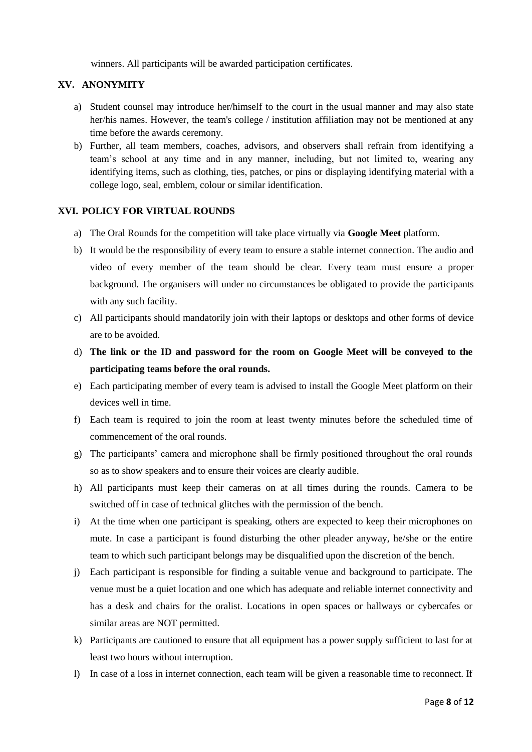winners. All participants will be awarded participation certificates.

## **XV. ANONYMITY**

- a) Student counsel may introduce her/himself to the court in the usual manner and may also state her/his names. However, the team's college / institution affiliation may not be mentioned at any time before the awards ceremony.
- b) Further, all team members, coaches, advisors, and observers shall refrain from identifying a team's school at any time and in any manner, including, but not limited to, wearing any identifying items, such as clothing, ties, patches, or pins or displaying identifying material with a college logo, seal, emblem, colour or similar identification.

## **XVI. POLICY FOR VIRTUAL ROUNDS**

- a) The Oral Rounds for the competition will take place virtually via **Google Meet** platform.
- b) It would be the responsibility of every team to ensure a stable internet connection. The audio and video of every member of the team should be clear. Every team must ensure a proper background. The organisers will under no circumstances be obligated to provide the participants with any such facility.
- c) All participants should mandatorily join with their laptops or desktops and other forms of device are to be avoided.
- d) **The link or the ID and password for the room on Google Meet will be conveyed to the participating teams before the oral rounds.**
- e) Each participating member of every team is advised to install the Google Meet platform on their devices well in time.
- f) Each team is required to join the room at least twenty minutes before the scheduled time of commencement of the oral rounds.
- g) The participants' camera and microphone shall be firmly positioned throughout the oral rounds so as to show speakers and to ensure their voices are clearly audible.
- h) All participants must keep their cameras on at all times during the rounds. Camera to be switched off in case of technical glitches with the permission of the bench.
- i) At the time when one participant is speaking, others are expected to keep their microphones on mute. In case a participant is found disturbing the other pleader anyway, he/she or the entire team to which such participant belongs may be disqualified upon the discretion of the bench.
- j) Each participant is responsible for finding a suitable venue and background to participate. The venue must be a quiet location and one which has adequate and reliable internet connectivity and has a desk and chairs for the oralist. Locations in open spaces or hallways or cybercafes or similar areas are NOT permitted.
- k) Participants are cautioned to ensure that all equipment has a power supply sufficient to last for at least two hours without interruption.
- l) In case of a loss in internet connection, each team will be given a reasonable time to reconnect. If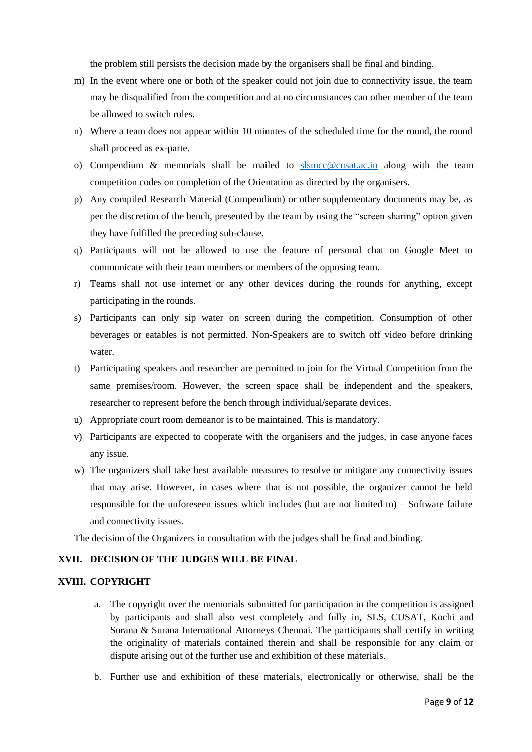the problem still persists the decision made by the organisers shall be final and binding.

- m) In the event where one or both of the speaker could not join due to connectivity issue, the team may be disqualified from the competition and at no circumstances can other member of the team be allowed to switch roles.
- n) Where a team does not appear within 10 minutes of the scheduled time for the round, the round shall proceed as ex-parte.
- o) Compendium & memorials shall be mailed to [slsmcc@cusat.ac.in](mailto:slsmcc@cusat.ac.in) along with the team competition codes on completion of the Orientation as directed by the organisers.
- p) Any compiled Research Material (Compendium) or other supplementary documents may be, as per the discretion of the bench, presented by the team by using the "screen sharing" option given they have fulfilled the preceding sub-clause.
- q) Participants will not be allowed to use the feature of personal chat on Google Meet to communicate with their team members or members of the opposing team.
- r) Teams shall not use internet or any other devices during the rounds for anything, except participating in the rounds.
- s) Participants can only sip water on screen during the competition. Consumption of other beverages or eatables is not permitted. Non-Speakers are to switch off video before drinking water.
- t) Participating speakers and researcher are permitted to join for the Virtual Competition from the same premises/room. However, the screen space shall be independent and the speakers, researcher to represent before the bench through individual/separate devices.
- u) Appropriate court room demeanor is to be maintained. This is mandatory.
- v) Participants are expected to cooperate with the organisers and the judges, in case anyone faces any issue.
- w) The organizers shall take best available measures to resolve or mitigate any connectivity issues that may arise. However, in cases where that is not possible, the organizer cannot be held responsible for the unforeseen issues which includes (but are not limited to) – Software failure and connectivity issues.

The decision of the Organizers in consultation with the judges shall be final and binding.

#### **XVII. DECISION OF THE JUDGES WILL BE FINAL**

## **XVIII. COPYRIGHT**

- a. The copyright over the memorials submitted for participation in the competition is assigned by participants and shall also vest completely and fully in, SLS, CUSAT, Kochi and Surana & Surana International Attorneys Chennai. The participants shall certify in writing the originality of materials contained therein and shall be responsible for any claim or dispute arising out of the further use and exhibition of these materials.
- b. Further use and exhibition of these materials, electronically or otherwise, shall be the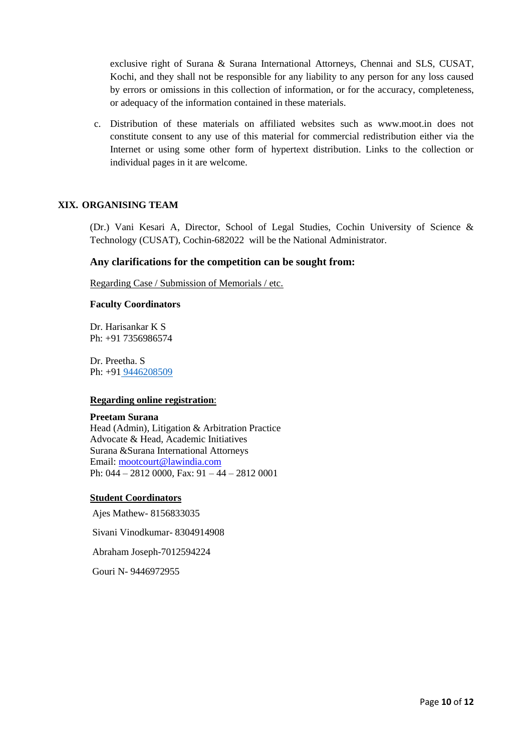exclusive right of Surana & Surana International Attorneys, Chennai and SLS, CUSAT, Kochi, and they shall not be responsible for any liability to any person for any loss caused by errors or omissions in this collection of information, or for the accuracy, completeness, or adequacy of the information contained in these materials.

c. Distribution of these materials on affiliated websites such as www.moot.in does not constitute consent to any use of this material for commercial redistribution either via the Internet or using some other form of hypertext distribution. Links to the collection or individual pages in it are welcome.

## **XIX. ORGANISING TEAM**

(Dr.) Vani Kesari A, Director, School of Legal Studies, Cochin University of Science & Technology (CUSAT), Cochin-682022 will be the National Administrator.

#### **Any clarifications for the competition can be sought from:**

Regarding Case / Submission of Memorials / etc.

#### **Faculty Coordinators**

Dr. Harisankar K S Ph: +91 7356986574

Dr. Preetha. S Ph: +91 [9446208509](callto:9446208509)

#### **Regarding online registration**:

#### **Preetam Surana**

Head (Admin), Litigation & Arbitration Practice Advocate & Head, Academic Initiatives Surana &Surana International Attorneys Email: mootcourt@lawindia.com Ph: 044 – 2812 0000, Fax: 91 – 44 – 2812 0001

#### **Student Coordinators**

Ajes Mathew- 8156833035

Sivani Vinodkumar- 8304914908

Abraham Joseph-7012594224

Gouri N- 9446972955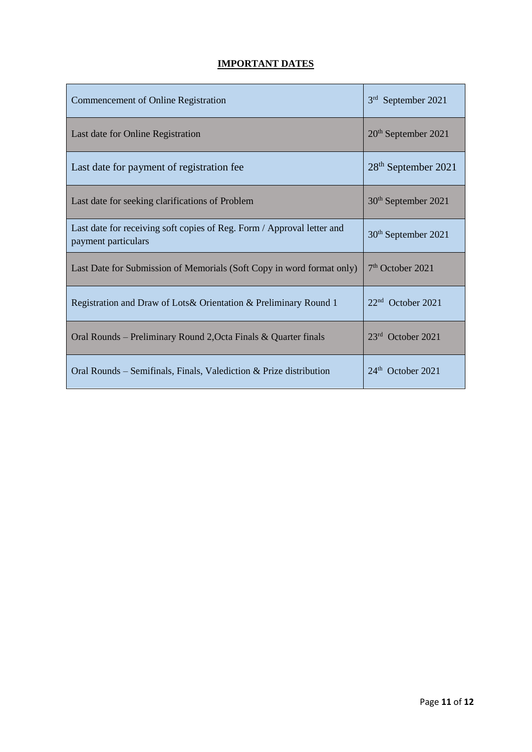# **IMPORTANT DATES**

| Commencement of Online Registration                                                           | 3 <sup>rd</sup><br>September 2021 |
|-----------------------------------------------------------------------------------------------|-----------------------------------|
| Last date for Online Registration                                                             | $20th$ September 2021             |
| Last date for payment of registration fee                                                     | 28 <sup>th</sup> September 2021   |
| Last date for seeking clarifications of Problem                                               | 30 <sup>th</sup> September 2021   |
| Last date for receiving soft copies of Reg. Form / Approval letter and<br>payment particulars | 30 <sup>th</sup> September 2021   |
| Last Date for Submission of Memorials (Soft Copy in word format only)                         | $7th$ October 2021                |
| Registration and Draw of Lots & Orientation & Preliminary Round 1                             | $22nd$ October 2021               |
| Oral Rounds – Preliminary Round 2, Octa Finals & Quarter finals                               | $23rd$ October 2021               |
| Oral Rounds – Semifinals, Finals, Valediction $\&$ Prize distribution                         | 24 <sup>th</sup> October 2021     |